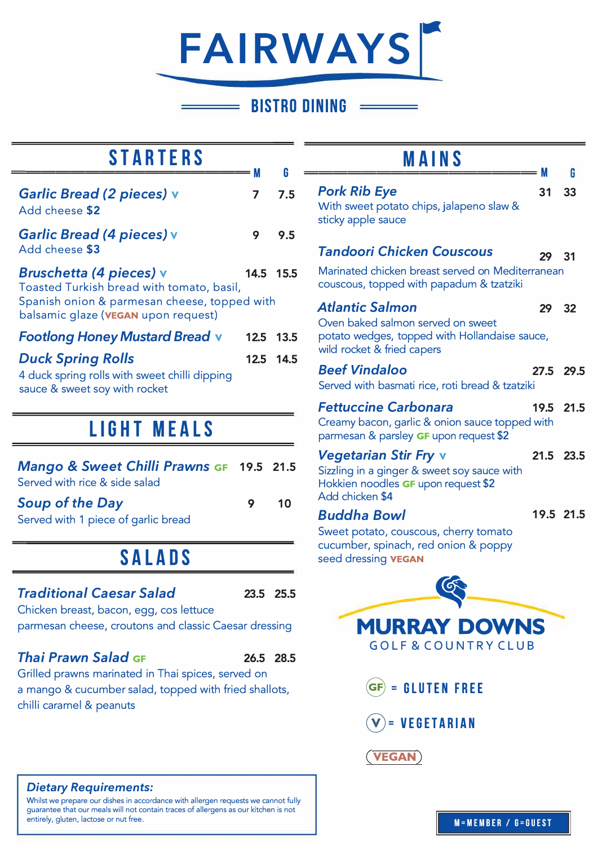# **FAIRWAYS** -

### **BISTRO DINING**

| <b>STARTERS</b>                                                                                                                                                    |        |           |  |
|--------------------------------------------------------------------------------------------------------------------------------------------------------------------|--------|-----------|--|
| Garlic Bread (2 pieces) v<br>Add cheese \$2                                                                                                                        | M<br>7 | G<br>7.5  |  |
| Garlic Bread (4 pieces) v<br>Add cheese \$3                                                                                                                        | 9      | 9.5       |  |
| <b>Bruschetta (4 pieces) v</b><br>Toasted Turkish bread with tomato, basil,<br>Spanish onion & parmesan cheese, topped with<br>balsamic glaze (VEGAN upon request) |        | 14.5 15.5 |  |
| <b>Footlong Honey Mustard Bread v</b>                                                                                                                              |        | 12.5 13.5 |  |
| <b>Duck Spring Rolls</b><br>4 duck spring rolls with sweet chilli dipping<br>sauce & sweet soy with rocket                                                         |        | 12.5 14.5 |  |
| LIGHT MEALS                                                                                                                                                        |        |           |  |

## *Mango* **&** *Sweet Chilli Prawns* **GF** 19.5 21.5 Served with rice & side salad *Soup of the Day*  Served with 1 piece of garlic bread **SALADS 9** 10

#### *Traditional Caesar Salad*

Chicken breast, bacon, egg, cos lettuce parmesan cheese, croutons and classic Caesar dressing

#### *Thai Prawn Salad* **GF** 26.5 28.5

Grilled prawns marinated in Thai spices, served on a mango & cucumber salad, topped with fried shallots, chilli caramel & peanuts

#### *Dietary Requirements:*

Whilst we prepare our dishes in accordance with allergen requests we cannot fully guarantee that our meals will not contain traces of allergens as our kitchen is not entirely, gluten, lactose or nut free.

## **MAINS ================M**

|                                                                                                                                       | M         | 6    |
|---------------------------------------------------------------------------------------------------------------------------------------|-----------|------|
| <b>Pork Rib Eye</b>                                                                                                                   | 31        | 33   |
| With sweet potato chips, jalapeno slaw &<br>sticky apple sauce                                                                        |           |      |
| Tandoori Chicken Couscous                                                                                                             | 29        | 31   |
| Marinated chicken breast served on Mediterranean<br>couscous, topped with papadum & tzatziki                                          |           |      |
| Atlantic Salmon<br>Oven baked salmon served on sweet<br>potato wedges, topped with Hollandaise sauce,<br>wild rocket & fried capers   | 29        | 32   |
| <b>Beef Vindaloo</b><br>Served with basmati rice, roti bread & tzatziki                                                               | 27.5 29.5 |      |
| <b>Fettuccine Carbonara</b>                                                                                                           | 19.5      | 21.5 |
| Creamy bacon, garlic & onion sauce topped with<br>parmesan & parsley GF upon request \$2                                              |           |      |
| <b>Vegetarian Stir Fry v</b><br>Sizzling in a ginger & sweet soy sauce with<br>Hokkien noodles GF upon request \$2<br>Add chicken \$4 | 21.5      | 23.5 |
| <b>Buddha Bowl</b><br>Sweet potato, couscous, cherry tomato<br>cucumber, spinach, red onion & poppy<br>seed dressing <b>VEGAN</b>     | 19.5 21.5 |      |
|                                                                                                                                       |           |      |
| <b>MURRAY DOWNS</b><br><b>GOLF &amp; COUNTRY CLUB</b>                                                                                 |           |      |
| $(\mathsf{GF}) = \mathsf{GLUTEN}$ FREE                                                                                                |           |      |
| $\mathbf{v}$ = VEGETARIAN                                                                                                             |           |      |
| <b>VEGAN</b>                                                                                                                          |           |      |
|                                                                                                                                       |           |      |



23.5 25.5